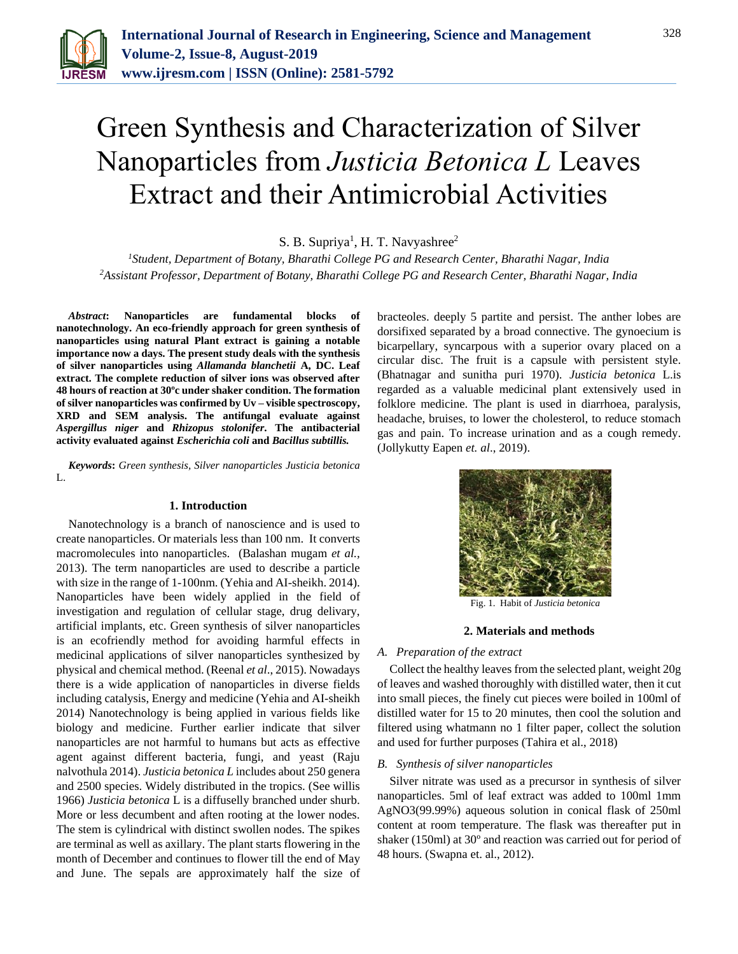

# Green Synthesis and Characterization of Silver Nanoparticles from *Justicia Betonica L* Leaves Extract and their Antimicrobial Activities

S. B. Supriya<sup>1</sup>, H. T. Navyashree<sup>2</sup>

*<sup>1</sup>Student, Department of Botany, Bharathi College PG and Research Center, Bharathi Nagar, India 2Assistant Professor, Department of Botany, Bharathi College PG and Research Center, Bharathi Nagar, India*

*Abstract***: Nanoparticles are fundamental blocks of nanotechnology. An eco-friendly approach for green synthesis of nanoparticles using natural Plant extract is gaining a notable importance now a days. The present study deals with the synthesis of silver nanoparticles using** *Allamanda blanchetii* **A, DC. Leaf extract. The complete reduction of silver ions was observed after 48 hours of reaction at 30ºc under shaker condition. The formation of silver nanoparticles was confirmed by Uv – visible spectroscopy, XRD and SEM analysis. The antifungal evaluate against**  *Aspergillus niger* **and** *Rhizopus stolonifer***. The antibacterial activity evaluated against** *Escherichia coli* **and** *Bacillus subtillis.*

*Keywords***:** *Green synthesis, Silver nanoparticles Justicia betonica*  L.

## **1. Introduction**

Nanotechnology is a branch of nanoscience and is used to create nanoparticles. Or materials less than 100 nm. It converts macromolecules into nanoparticles. (Balashan mugam *et al.,*  2013). The term nanoparticles are used to describe a particle with size in the range of 1-100nm. (Yehia and AI-sheikh. 2014). Nanoparticles have been widely applied in the field of investigation and regulation of cellular stage, drug delivary, artificial implants, etc. Green synthesis of silver nanoparticles is an ecofriendly method for avoiding harmful effects in medicinal applications of silver nanoparticles synthesized by physical and chemical method. (Reenal *et al*., 2015). Nowadays there is a wide application of nanoparticles in diverse fields including catalysis, Energy and medicine (Yehia and AI-sheikh 2014) Nanotechnology is being applied in various fields like biology and medicine. Further earlier indicate that silver nanoparticles are not harmful to humans but acts as effective agent against different bacteria, fungi, and yeast (Raju nalvothula 2014). *Justicia betonica L* includes about 250 genera and 2500 species. Widely distributed in the tropics. (See willis 1966) *Justicia betonica* L is a diffuselly branched under shurb. More or less decumbent and aften rooting at the lower nodes. The stem is cylindrical with distinct swollen nodes. The spikes are terminal as well as axillary. The plant starts flowering in the month of December and continues to flower till the end of May and June. The sepals are approximately half the size of bracteoles. deeply 5 partite and persist. The anther lobes are dorsifixed separated by a broad connective. The gynoecium is bicarpellary, syncarpous with a superior ovary placed on a circular disc. The fruit is a capsule with persistent style. (Bhatnagar and sunitha puri 1970). *Justicia betonica* L.is regarded as a valuable medicinal plant extensively used in folklore medicine. The plant is used in diarrhoea, paralysis, headache, bruises, to lower the cholesterol, to reduce stomach gas and pain. To increase urination and as a cough remedy. (Jollykutty Eapen *et. al*., 2019).



Fig. 1. Habit of *Justicia betonica*

#### **2. Materials and methods**

## *A. Preparation of the extract*

Collect the healthy leaves from the selected plant, weight 20g of leaves and washed thoroughly with distilled water, then it cut into small pieces, the finely cut pieces were boiled in 100ml of distilled water for 15 to 20 minutes, then cool the solution and filtered using whatmann no 1 filter paper, collect the solution and used for further purposes (Tahira et al., 2018)

#### *B. Synthesis of silver nanoparticles*

Silver nitrate was used as a precursor in synthesis of silver nanoparticles. 5ml of leaf extract was added to 100ml 1mm AgNO3(99.99%) aqueous solution in conical flask of 250ml content at room temperature. The flask was thereafter put in shaker (150ml) at 30º and reaction was carried out for period of 48 hours. (Swapna et. al., 2012).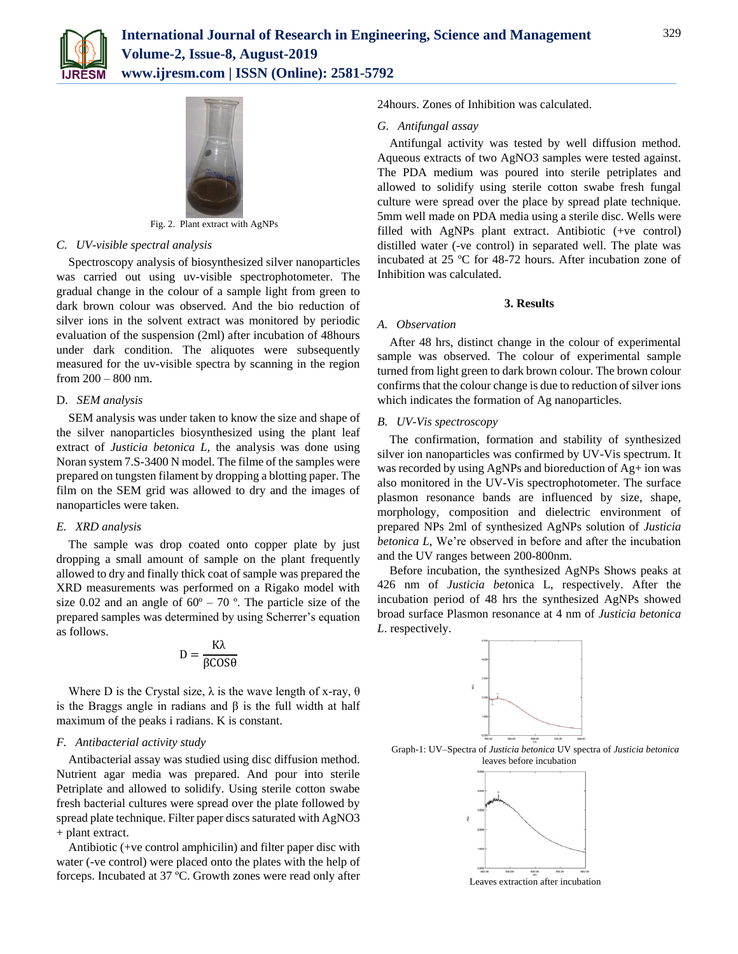



Fig. 2. Plant extract with AgNPs

## *C. UV-visible spectral analysis*

Spectroscopy analysis of biosynthesized silver nanoparticles was carried out using uv-visible spectrophotometer. The gradual change in the colour of a sample light from green to dark brown colour was observed. And the bio reduction of silver ions in the solvent extract was monitored by periodic evaluation of the suspension (2ml) after incubation of 48hours under dark condition. The aliquotes were subsequently measured for the uv-visible spectra by scanning in the region from 200 – 800 nm.

# D. *SEM analysis*

SEM analysis was under taken to know the size and shape of the silver nanoparticles biosynthesized using the plant leaf extract of *Justicia betonica L,* the analysis was done using Noran system 7.S-3400 N model. The filme of the samples were prepared on tungsten filament by dropping a blotting paper. The film on the SEM grid was allowed to dry and the images of nanoparticles were taken.

## *E. XRD analysis*

The sample was drop coated onto copper plate by just dropping a small amount of sample on the plant frequently allowed to dry and finally thick coat of sample was prepared the XRD measurements was performed on a Rigako model with size 0.02 and an angle of  $60^{\circ}$  – 70 °. The particle size of the prepared samples was determined by using Scherrer's equation as follows.

$$
D = \frac{K\lambda}{\beta COS\theta}
$$

Where D is the Crystal size,  $\lambda$  is the wave length of x-ray,  $\theta$ is the Braggs angle in radians and β is the full width at half maximum of the peaks i radians. K is constant.

## *F. Antibacterial activity study*

Antibacterial assay was studied using disc diffusion method. Nutrient agar media was prepared. And pour into sterile Petriplate and allowed to solidify. Using sterile cotton swabe fresh bacterial cultures were spread over the plate followed by spread plate technique. Filter paper discs saturated with AgNO3 + plant extract.

Antibiotic (+ve control amphicilin) and filter paper disc with water (-ve control) were placed onto the plates with the help of forceps. Incubated at 37 ºC. Growth zones were read only after

24hours. Zones of Inhibition was calculated.

#### *G. Antifungal assay*

Antifungal activity was tested by well diffusion method. Aqueous extracts of two AgNO3 samples were tested against. The PDA medium was poured into sterile petriplates and allowed to solidify using sterile cotton swabe fresh fungal culture were spread over the place by spread plate technique. 5mm well made on PDA media using a sterile disc. Wells were filled with AgNPs plant extract. Antibiotic (+ve control) distilled water (-ve control) in separated well. The plate was incubated at 25 ºC for 48-72 hours. After incubation zone of Inhibition was calculated.

### **3. Results**

## *A. Observation*

After 48 hrs, distinct change in the colour of experimental sample was observed. The colour of experimental sample turned from light green to dark brown colour. The brown colour confirms that the colour change is due to reduction of silver ions which indicates the formation of Ag nanoparticles.

## *B. UV-Vis spectroscopy*

The confirmation, formation and stability of synthesized silver ion nanoparticles was confirmed by UV-Vis spectrum. It was recorded by using AgNPs and bioreduction of Ag+ ion was also monitored in the UV-Vis spectrophotometer. The surface plasmon resonance bands are influenced by size, shape, morphology, composition and dielectric environment of prepared NPs 2ml of synthesized AgNPs solution of *Justicia betonica L,* We're observed in before and after the incubation and the UV ranges between 200-800nm.

Before incubation, the synthesized AgNPs Shows peaks at 426 nm of *Justicia bet*onica L, respectively. After the incubation period of 48 hrs the synthesized AgNPs showed broad surface Plasmon resonance at 4 nm of *Justicia betonica L*. respectively.



Graph-1: UV–Spectra of *Justicia betonica* UV spectra of *Justicia betonica* leaves before incubation



Leaves extraction after incubation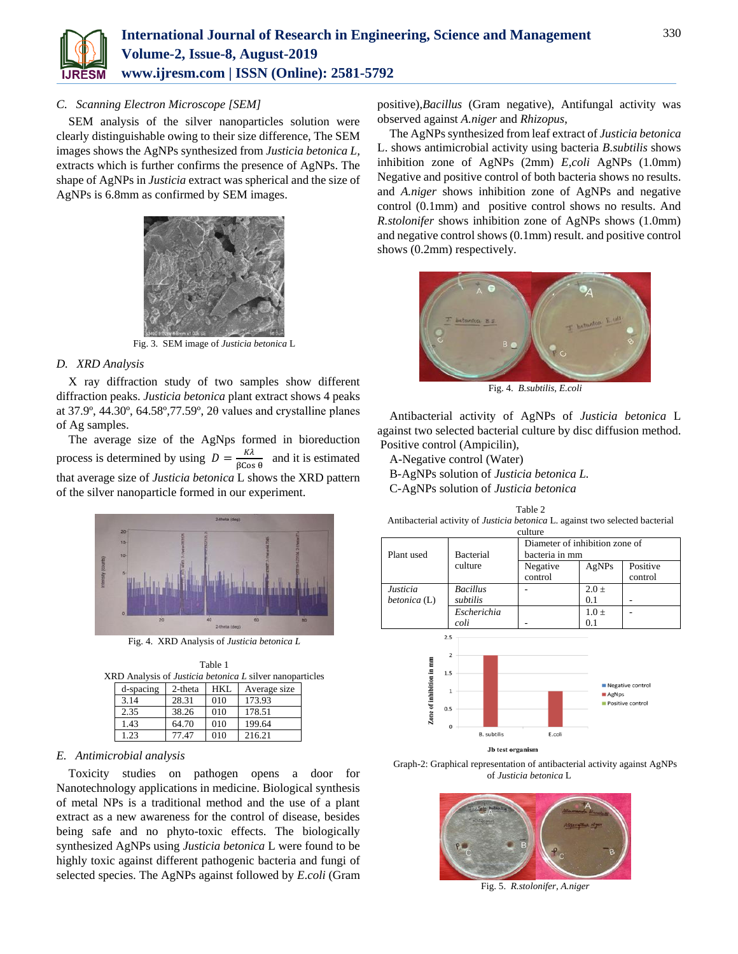

# *C. Scanning Electron Microscope [SEM]*

SEM analysis of the silver nanoparticles solution were clearly distinguishable owing to their size difference, The SEM images shows the AgNPs synthesized from *Justicia betonica L,*  extracts which is further confirms the presence of AgNPs. The shape of AgNPs in *Justicia* extract was spherical and the size of AgNPs is 6.8mm as confirmed by SEM images.



Fig. 3. SEM image of *Justicia betonica* L

## *D. XRD Analysis*

X ray diffraction study of two samples show different diffraction peaks. *Justicia betonica* plant extract shows 4 peaks at 37.9º, 44.30º, 64.58º,77.59º, 2θ values and crystalline planes of Ag samples.

The average size of the AgNps formed in bioreduction process is determined by using  $D = \frac{K\lambda}{2.0033}$  $\frac{R\lambda}{\beta\cos\theta}$  and it is estimated that average size of *Justicia betonica* L shows the XRD pattern of the silver nanoparticle formed in our experiment.



Fig. 4. XRD Analysis of *Justicia betonica L*

| Table 1                                                         |  |
|-----------------------------------------------------------------|--|
| XRD Analysis of <i>Justicia betonica L</i> silver nanoparticles |  |

| d-spacing | 2-theta | HKI. | Average size |
|-----------|---------|------|--------------|
| 3.14      | 28.31   | 010  | 173.93       |
| 2.35      | 38.26   | 010  | 178.51       |
| 1.43      | 64.70   | 010  | 199.64       |
| 1.23      | 77.47   | 010  | 216.21       |

# *E. Antimicrobial analysis*

Toxicity studies on pathogen opens a door for Nanotechnology applications in medicine. Biological synthesis of metal NPs is a traditional method and the use of a plant extract as a new awareness for the control of disease, besides being safe and no phyto-toxic effects. The biologically synthesized AgNPs using *Justicia betonica* L were found to be highly toxic against different pathogenic bacteria and fungi of selected species. The AgNPs against followed by *E*.*coli* (Gram positive),*Bacillus* (Gram negative), Antifungal activity was observed against *A.niger* and *Rhizopus*,

The AgNPs synthesized from leaf extract of *Justicia betonica* L. shows antimicrobial activity using bacteria *B*.*subtilis* shows inhibition zone of AgNPs (2mm) *E*,*coli* AgNPs (1.0mm) Negative and positive control of both bacteria shows no results. and *A.niger* shows inhibition zone of AgNPs and negative control (0.1mm) and positive control shows no results. And *R.stolonifer* shows inhibition zone of AgNPs shows (1.0mm) and negative control shows (0.1mm) result. and positive control shows (0.2mm) respectively.



Fig. 4. *B.subtilis, E.coli*

Antibacterial activity of AgNPs of *Justicia betonica* L against two selected bacterial culture by disc diffusion method. Positive control (Ampicilin),

Table 2

A-Negative control (Water)

B-AgNPs solution of *Justicia betonica L.*

C-AgNPs solution of *Justicia betonica*

| Antibacterial activity of <i>Justicia betonica</i> L. against two selected bacterial |                  |                                |           |          |  |  |
|--------------------------------------------------------------------------------------|------------------|--------------------------------|-----------|----------|--|--|
| culture                                                                              |                  |                                |           |          |  |  |
|                                                                                      |                  | Diameter of inhibition zone of |           |          |  |  |
| Plant used                                                                           | <b>Bacterial</b> | bacteria in mm                 |           |          |  |  |
|                                                                                      | culture          | Negative                       | AgNPs     | Positive |  |  |
|                                                                                      |                  | control                        |           | control  |  |  |
| Justicia                                                                             | <b>Bacillus</b>  |                                | $2.0 \pm$ |          |  |  |
| betonica (L)                                                                         | subtilis         |                                | 0.1       |          |  |  |
|                                                                                      | Escherichia      |                                | $1.0 +$   |          |  |  |
|                                                                                      | coli             |                                | 0.1       |          |  |  |
| 2.5                                                                                  |                  |                                |           |          |  |  |
|                                                                                      |                  |                                |           |          |  |  |
| Ē                                                                                    | 2                |                                |           |          |  |  |



Graph-2: Graphical representation of antibacterial activity against AgNPs of *Justicia betonica* L



Fig. 5. *R.stolonifer, A.niger*